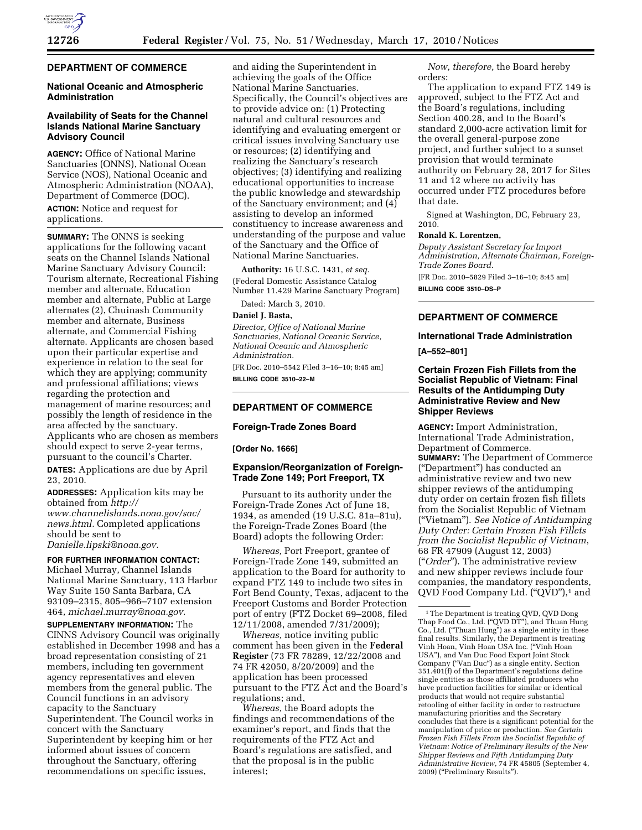

# **DEPARTMENT OF COMMERCE**

## **National Oceanic and Atmospheric Administration**

# **Availability of Seats for the Channel Islands National Marine Sanctuary Advisory Council**

**AGENCY:** Office of National Marine Sanctuaries (ONNS), National Ocean Service (NOS), National Oceanic and Atmospheric Administration (NOAA), Department of Commerce (DOC). **ACTION:** Notice and request for applications.

**SUMMARY:** The ONNS is seeking applications for the following vacant seats on the Channel Islands National Marine Sanctuary Advisory Council: Tourism alternate, Recreational Fishing member and alternate, Education member and alternate, Public at Large alternates (2), Chuinash Community member and alternate, Business alternate, and Commercial Fishing alternate. Applicants are chosen based upon their particular expertise and experience in relation to the seat for which they are applying; community and professional affiliations; views regarding the protection and management of marine resources; and possibly the length of residence in the area affected by the sanctuary. Applicants who are chosen as members should expect to serve 2-year terms, pursuant to the council's Charter. **DATES:** Applications are due by April 23, 2010.

**ADDRESSES:** Application kits may be obtained from *http:// www.channelislands.noaa.gov/sac/ news.html.* Completed applications should be sent to *Danielle.lipski@noaa.gov.* 

**FOR FURTHER INFORMATION CONTACT:**  Michael Murray, Channel Islands National Marine Sanctuary, 113 Harbor Way Suite 150 Santa Barbara, CA 93109–2315, 805–966–7107 extension

464, *michael.murray@noaa.gov.*  **SUPPLEMENTARY INFORMATION:** The CINNS Advisory Council was originally established in December 1998 and has a broad representation consisting of 21 members, including ten government agency representatives and eleven members from the general public. The Council functions in an advisory capacity to the Sanctuary Superintendent. The Council works in concert with the Sanctuary Superintendent by keeping him or her informed about issues of concern throughout the Sanctuary, offering recommendations on specific issues,

and aiding the Superintendent in achieving the goals of the Office National Marine Sanctuaries. Specifically, the Council's objectives are to provide advice on: (1) Protecting natural and cultural resources and identifying and evaluating emergent or critical issues involving Sanctuary use or resources; (2) identifying and realizing the Sanctuary's research objectives; (3) identifying and realizing educational opportunities to increase the public knowledge and stewardship of the Sanctuary environment; and (4) assisting to develop an informed constituency to increase awareness and understanding of the purpose and value of the Sanctuary and the Office of National Marine Sanctuaries.

**Authority:** 16 U.S.C. 1431, *et seq.*  (Federal Domestic Assistance Catalog Number 11.429 Marine Sanctuary Program)

Dated: March 3, 2010.

### **Daniel J. Basta,**

*Director, Office of National Marine Sanctuaries, National Oceanic Service, National Oceanic and Atmospheric Administration.* 

[FR Doc. 2010–5542 Filed 3–16–10; 8:45 am] **BILLING CODE 3510–22–M** 

## **DEPARTMENT OF COMMERCE**

## **Foreign-Trade Zones Board**

#### **[Order No. 1666]**

## **Expansion/Reorganization of Foreign-Trade Zone 149; Port Freeport, TX**

Pursuant to its authority under the Foreign-Trade Zones Act of June 18, 1934, as amended (19 U.S.C. 81a–81u), the Foreign-Trade Zones Board (the Board) adopts the following Order:

*Whereas,* Port Freeport, grantee of Foreign-Trade Zone 149, submitted an application to the Board for authority to expand FTZ 149 to include two sites in Fort Bend County, Texas, adjacent to the Freeport Customs and Border Protection port of entry (FTZ Docket 69–2008, filed 12/11/2008, amended 7/31/2009);

*Whereas,* notice inviting public comment has been given in the **Federal Register** (73 FR 78289, 12/22/2008 and 74 FR 42050, 8/20/2009) and the application has been processed pursuant to the FTZ Act and the Board's regulations; and,

*Whereas,* the Board adopts the findings and recommendations of the examiner's report, and finds that the requirements of the FTZ Act and Board's regulations are satisfied, and that the proposal is in the public interest;

*Now, therefore,* the Board hereby orders:

The application to expand FTZ 149 is approved, subject to the FTZ Act and the Board's regulations, including Section 400.28, and to the Board's standard 2,000-acre activation limit for the overall general-purpose zone project, and further subject to a sunset provision that would terminate authority on February 28, 2017 for Sites 11 and 12 where no activity has occurred under FTZ procedures before that date.

Signed at Washington, DC, February 23, 2010.

## **Ronald K. Lorentzen,**

*Deputy Assistant Secretary for Import Administration, Alternate Chairman, Foreign-Trade Zones Board.* 

[FR Doc. 2010–5829 Filed 3–16–10; 8:45 am] **BILLING CODE 3510–DS–P** 

# **DEPARTMENT OF COMMERCE**

#### **International Trade Administration**

**[A–552–801]** 

## **Certain Frozen Fish Fillets from the Socialist Republic of Vietnam: Final Results of the Antidumping Duty Administrative Review and New Shipper Reviews**

**AGENCY:** Import Administration, International Trade Administration, Department of Commerce. **SUMMARY:** The Department of Commerce (''Department'') has conducted an administrative review and two new shipper reviews of the antidumping duty order on certain frozen fish fillets from the Socialist Republic of Vietnam (''Vietnam''). *See Notice of Antidumping Duty Order: Certain Frozen Fish Fillets from the Socialist Republic of Vietnam*, 68 FR 47909 (August 12, 2003) (''*Order*''). The administrative review and new shipper reviews include four companies, the mandatory respondents, QVD Food Company Ltd. ("QVD"),<sup>1</sup> and

<sup>1</sup>The Department is treating QVD, QVD Dong Thap Food Co., Ltd. ("QVD DT"), and Thuan Hung Co., Ltd. (''Thuan Hung'') as a single entity in these final results. Similarly, the Department is treating Vinh Hoan, Vinh Hoan USA Inc. (''Vinh Hoan USA''), and Van Duc Food Export Joint Stock Company (''Van Duc'') as a single entity. Section 351.401(f) of the Department's regulations define single entities as those affiliated producers who have production facilities for similar or identical products that would not require substantial retooling of either facility in order to restructure manufacturing priorities and the Secretary concludes that there is a significant potential for the manipulation of price or production. *See Certain Frozen Fish Fillets From the Socialist Republic of Vietnam: Notice of Preliminary Results of the New Shipper Reviews and Fifth Antidumping Duty Administrative Review*, 74 FR 45805 (September 4, 2009) (''Preliminary Results'').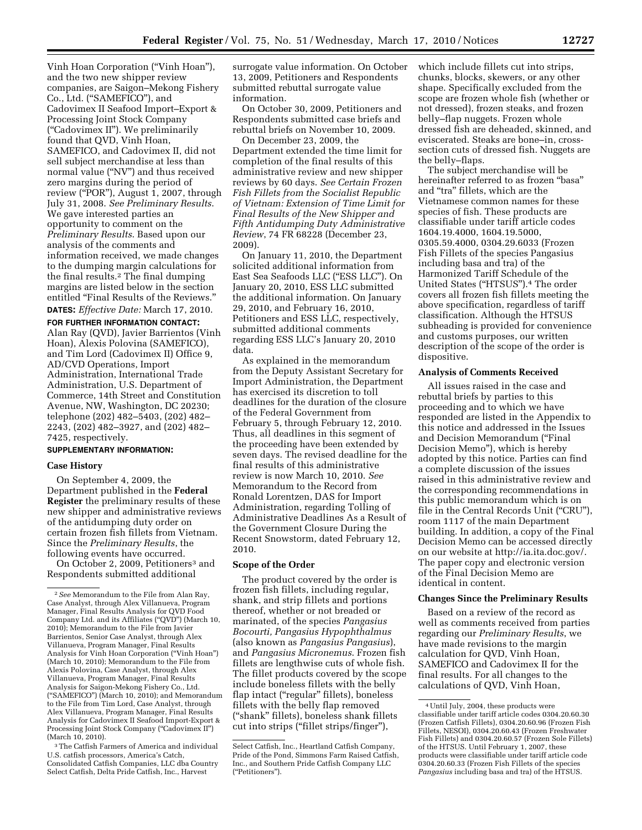Vinh Hoan Corporation (''Vinh Hoan''), and the two new shipper review companies, are Saigon–Mekong Fishery Co., Ltd. (''SAMEFICO''), and Cadovimex II Seafood Import–Export & Processing Joint Stock Company (''Cadovimex II''). We preliminarily found that QVD, Vinh Hoan, SAMEFICO, and Cadovimex II, did not sell subject merchandise at less than normal value (''NV'') and thus received zero margins during the period of review (''POR''), August 1, 2007, through July 31, 2008. *See Preliminary Results*. We gave interested parties an opportunity to comment on the *Preliminary Results*. Based upon our analysis of the comments and information received, we made changes to the dumping margin calculations for the final results.2 The final dumping margins are listed below in the section entitled "Final Results of the Reviews." **DATES:** *Effective Date:* March 17, 2010.

**FOR FURTHER INFORMATION CONTACT:**  Alan Ray (QVD), Javier Barrientos (Vinh Hoan), Alexis Polovina (SAMEFICO), and Tim Lord (Cadovimex II) Office 9, AD/CVD Operations, Import Administration, International Trade Administration, U.S. Department of Commerce, 14th Street and Constitution Avenue, NW, Washington, DC 20230; telephone (202) 482–5403, (202) 482– 2243, (202) 482–3927, and (202) 482– 7425, respectively.

### **SUPPLEMENTARY INFORMATION:**

### **Case History**

On September 4, 2009, the Department published in the **Federal Register** the preliminary results of these new shipper and administrative reviews of the antidumping duty order on certain frozen fish fillets from Vietnam. Since the *Preliminary Results*, the following events have occurred.

On October 2, 2009, Petitioners<sup>3</sup> and Respondents submitted additional

3The Catfish Farmers of America and individual U.S. catfish processors, America's Catch, Consolidated Catfish Companies, LLC dba Country Select Catfish, Delta Pride Catfish, Inc., Harvest

surrogate value information. On October 13, 2009, Petitioners and Respondents submitted rebuttal surrogate value information.

On October 30, 2009, Petitioners and Respondents submitted case briefs and rebuttal briefs on November 10, 2009.

On December 23, 2009, the Department extended the time limit for completion of the final results of this administrative review and new shipper reviews by 60 days. *See Certain Frozen Fish Fillets from the Socialist Republic of Vietnam: Extension of Time Limit for Final Results of the New Shipper and Fifth Antidumping Duty Administrative Review*, 74 FR 68228 (December 23, 2009).

On January 11, 2010, the Department solicited additional information from East Sea Seafoods LLC (''ESS LLC''). On January 20, 2010, ESS LLC submitted the additional information. On January 29, 2010, and February 16, 2010, Petitioners and ESS LLC, respectively, submitted additional comments regarding ESS LLC's January 20, 2010 data.

As explained in the memorandum from the Deputy Assistant Secretary for Import Administration, the Department has exercised its discretion to toll deadlines for the duration of the closure of the Federal Government from February 5, through February 12, 2010. Thus, all deadlines in this segment of the proceeding have been extended by seven days. The revised deadline for the final results of this administrative review is now March 10, 2010. *See*  Memorandum to the Record from Ronald Lorentzen, DAS for Import Administration, regarding Tolling of Administrative Deadlines As a Result of the Government Closure During the Recent Snowstorm, dated February 12, 2010.

### **Scope of the Order**

The product covered by the order is frozen fish fillets, including regular, shank, and strip fillets and portions thereof, whether or not breaded or marinated, of the species *Pangasius Bocourti, Pangasius Hypophthalmus*  (also known as *Pangasius Pangasius*), and *Pangasius Micronemus*. Frozen fish fillets are lengthwise cuts of whole fish. The fillet products covered by the scope include boneless fillets with the belly flap intact (''regular'' fillets), boneless fillets with the belly flap removed (''shank'' fillets), boneless shank fillets cut into strips (''fillet strips/finger''),

which include fillets cut into strips, chunks, blocks, skewers, or any other shape. Specifically excluded from the scope are frozen whole fish (whether or not dressed), frozen steaks, and frozen belly–flap nuggets. Frozen whole dressed fish are deheaded, skinned, and eviscerated. Steaks are bone–in, crosssection cuts of dressed fish. Nuggets are the belly–flaps.

The subject merchandise will be hereinafter referred to as frozen "basa" and "tra" fillets, which are the Vietnamese common names for these species of fish. These products are classifiable under tariff article codes 1604.19.4000, 1604.19.5000, 0305.59.4000, 0304.29.6033 (Frozen Fish Fillets of the species Pangasius including basa and tra) of the Harmonized Tariff Schedule of the United States (''HTSUS'').4 The order covers all frozen fish fillets meeting the above specification, regardless of tariff classification. Although the HTSUS subheading is provided for convenience and customs purposes, our written description of the scope of the order is dispositive.

#### **Analysis of Comments Received**

All issues raised in the case and rebuttal briefs by parties to this proceeding and to which we have responded are listed in the Appendix to this notice and addressed in the Issues and Decision Memorandum (''Final Decision Memo''), which is hereby adopted by this notice. Parties can find a complete discussion of the issues raised in this administrative review and the corresponding recommendations in this public memorandum which is on file in the Central Records Unit (''CRU''), room 1117 of the main Department building. In addition, a copy of the Final Decision Memo can be accessed directly on our website at http://ia.ita.doc.gov/. The paper copy and electronic version of the Final Decision Memo are identical in content.

### **Changes Since the Preliminary Results**

Based on a review of the record as well as comments received from parties regarding our *Preliminary Results*, we have made revisions to the margin calculation for QVD, Vinh Hoan, SAMEFICO and Cadovimex II for the final results. For all changes to the calculations of QVD, Vinh Hoan,

<sup>2</sup>*See* Memorandum to the File from Alan Ray, Case Analyst, through Alex Villanueva, Program Manager, Final Results Analysis for QVD Food Company Ltd. and its Affiliates (''QVD'') (March 10, 2010); Memorandum to the File from Javier Barrientos, Senior Case Analyst, through Alex Villanueva, Program Manager, Final Results Analysis for Vinh Hoan Corporation (''Vinh Hoan'') (March 10, 2010); Memorandum to the File from Alexis Polovina, Case Analyst, through Alex Villanueva, Program Manager, Final Results Analysis for Saigon-Mekong Fishery Co., Ltd. (''SAMEFICO'') (March 10, 2010); and Memorandum to the File from Tim Lord, Case Analyst, through Alex Villanueva, Program Manager, Final Results Analysis for Cadovimex II Seafood Import-Export & Processing Joint Stock Company ("Cadovimex II") (March 10, 2010).

Select Catfish, Inc., Heartland Catfish Company, Pride of the Pond, Simmons Farm Raised Catfish, Inc., and Southern Pride Catfish Company LLC (''Petitioners'').

<sup>4</sup>Until July, 2004, these products were classifiable under tariff article codes 0304.20.60.30 (Frozen Catfish Fillets), 0304.20.60.96 (Frozen Fish Fillets, NESOI), 0304.20.60.43 (Frozen Freshwater Fish Fillets) and 0304.20.60.57 (Frozen Sole Fillets) of the HTSUS. Until February 1, 2007, these products were classifiable under tariff article code 0304.20.60.33 (Frozen Fish Fillets of the species *Pangasius* including basa and tra) of the HTSUS.